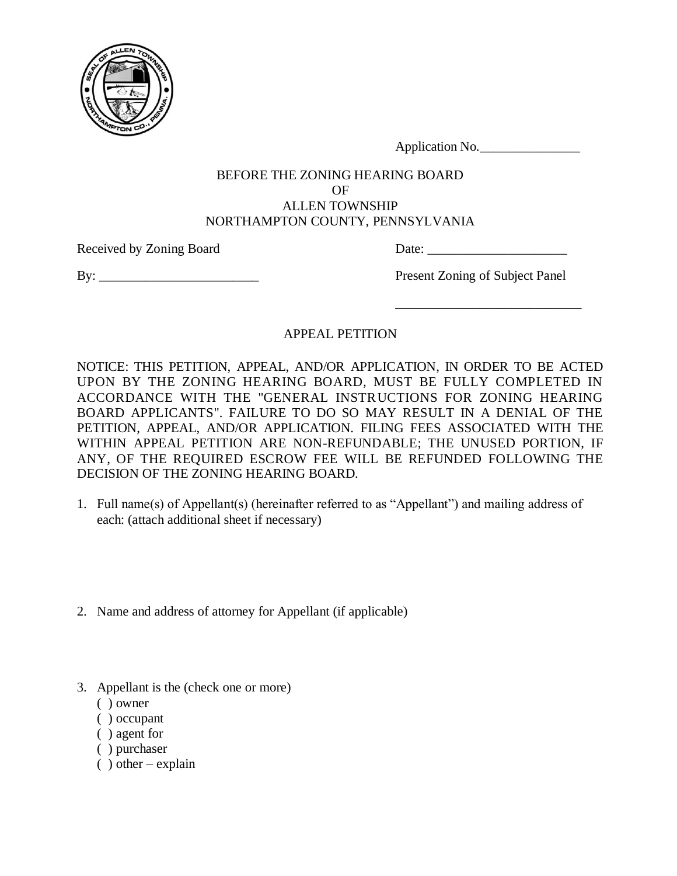

Application No.

#### BEFORE THE ZONING HEARING BOARD OF ALLEN TOWNSHIP NORTHAMPTON COUNTY, PENNSYLVANIA

Received by Zoning Board Date: \_\_\_\_\_\_\_\_\_\_\_\_\_\_\_\_\_\_\_\_\_

By: Present Zoning of Subject Panel

\_\_\_\_\_\_\_\_\_\_\_\_\_\_\_\_\_\_\_\_\_\_\_\_\_\_\_\_

# APPEAL PETITION

NOTICE: THIS PETITION, APPEAL, AND/OR APPLICATION, IN ORDER TO BE ACTED UPON BY THE ZONING HEARING BOARD, MUST BE FULLY COMPLETED IN ACCORDANCE WITH THE "GENERAL INSTRUCTIONS FOR ZONING HEARING BOARD APPLICANTS". FAILURE TO DO SO MAY RESULT IN A DENIAL OF THE PETITION, APPEAL, AND/OR APPLICATION. FILING FEES ASSOCIATED WITH THE WITHIN APPEAL PETITION ARE NON-REFUNDABLE; THE UNUSED PORTION, IF ANY, OF THE REQUIRED ESCROW FEE WILL BE REFUNDED FOLLOWING THE DECISION OF THE ZONING HEARING BOARD.

- 1. Full name(s) of Appellant(s) (hereinafter referred to as "Appellant") and mailing address of each: (attach additional sheet if necessary)
- 2. Name and address of attorney for Appellant (if applicable)
- 3. Appellant is the (check one or more)
	- ( ) owner
	- ( ) occupant
	- ( ) agent for
	- ( ) purchaser
	- $( )$  other explain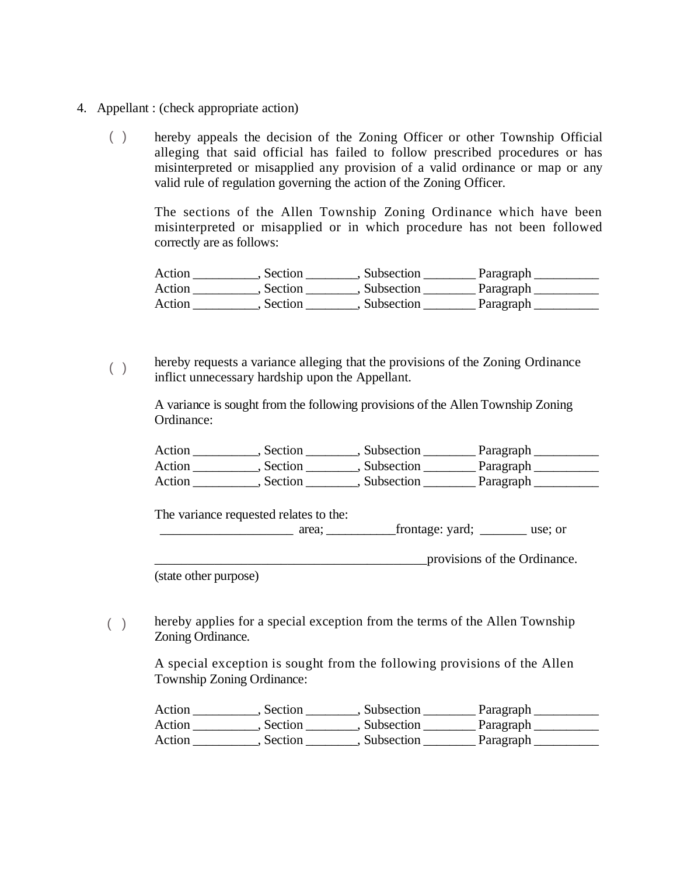- 4. Appellant : (check appropriate action)
	- hereby appeals the decision of the Zoning Officer or other Township Official alleging that said official has failed to follow prescribed procedures or has misinterpreted or misapplied any provision of a valid ordinance or map or any valid rule of regulation governing the action of the Zoning Officer. ( )

The sections of the Allen Township Zoning Ordinance which have been misinterpreted or misapplied or in which procedure has not been followed correctly are as follows:

Action \_\_\_\_\_\_\_\_\_, Section \_\_\_\_\_\_\_, Subsection \_\_\_\_\_\_\_\_\_ Paragraph \_\_\_\_\_\_\_\_\_\_\_\_\_\_ Action \_\_\_\_\_\_\_\_\_, Section \_\_\_\_\_\_\_, Subsection \_\_\_\_\_\_\_\_\_ Paragraph \_\_\_\_\_\_\_\_\_\_\_\_\_\_ Action \_\_\_\_\_\_\_\_\_, Section \_\_\_\_\_\_\_, Subsection \_\_\_\_\_\_\_\_\_ Paragraph \_\_\_\_\_\_\_\_\_\_\_\_\_\_\_

hereby requests a variance alleging that the provisions of the Zoning Ordinance inflict unnecessary hardship upon the Appellant.  $($   $)$ 

A variance is sought from the following provisions of the Allen Township Zoning Ordinance:

| Action | Section | Subsection   | Paragraph |
|--------|---------|--------------|-----------|
| Action | Section | . Subsection | Paragraph |
| Action | Section | Subsection   | Paragraph |

The variance requested relates to the:

\_\_\_\_\_\_\_\_\_\_\_\_\_\_\_\_\_\_\_\_ area; \_\_\_\_\_\_\_\_\_\_\_frontage: yard; \_\_\_\_\_\_\_ use; or

\_\_\_\_\_\_\_\_\_\_\_\_\_\_\_\_\_\_\_\_\_\_\_\_\_\_\_\_\_\_\_\_\_\_\_\_\_\_\_\_\_provisions of the Ordinance.

(state other purpose)

hereby applies for a special exception from the terms of the Allen Township Zoning Ordinance.  $($ )

A special exception is sought from the following provisions of the Allen Township Zoning Ordinance:

| Action | Section | Subsection | Paragraph |
|--------|---------|------------|-----------|
| Action | Section | Subsection | Paragraph |
| Action | Section | Subsection | Paragraph |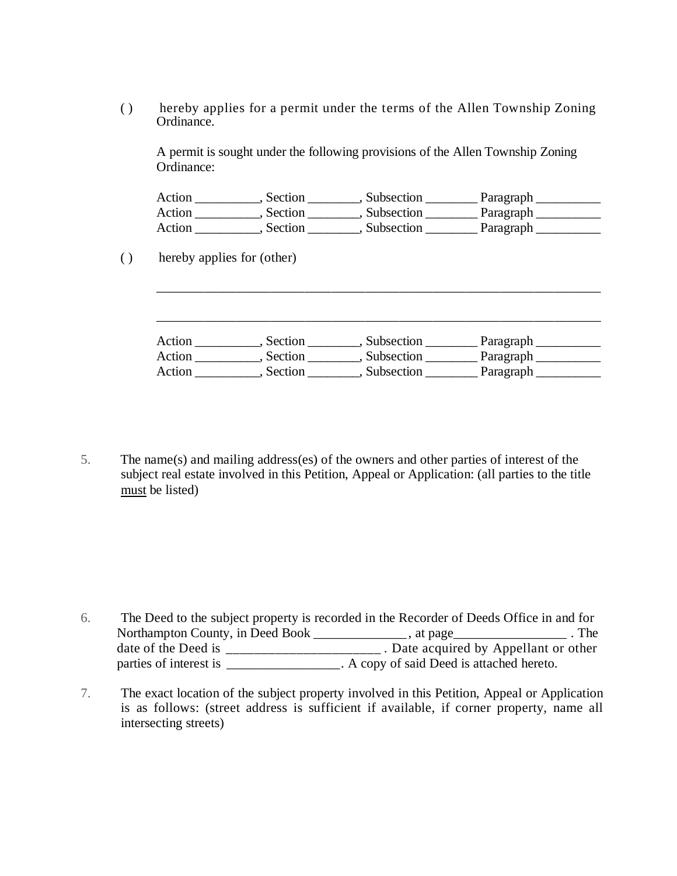( ) hereby applies for a permit under the terms of the Allen Township Zoning Ordinance.

A permit is sought under the following provisions of the Allen Township Zoning Ordinance:

| Action | Section | Subsection | Paragraph |  |
|--------|---------|------------|-----------|--|
| Action | Section | Subsection | Paragraph |  |
| Action | Section | Subsection | Paragraph |  |

( ) hereby applies for (other)

| Action | Section | Subsection | Paragraph |
|--------|---------|------------|-----------|
| Action | Section | Subsection | Paragraph |
| Action | Section | Subsection | Paragraph |

\_\_\_\_\_\_\_\_\_\_\_\_\_\_\_\_\_\_\_\_\_\_\_\_\_\_\_\_\_\_\_\_\_\_\_\_\_\_\_\_\_\_\_\_\_\_\_\_\_\_\_\_\_\_\_\_\_\_\_\_\_\_\_\_\_\_

5. The name(s) and mailing address(es) of the owners and other parties of interest of the subject real estate involved in this Petition, Appeal or Application: (all parties to the title must be listed)

6. The Deed to the subject property is recorded in the Recorder of Deeds Office in and for Northampton County, in Deed Book \_\_\_\_\_\_\_\_\_\_\_\_, at page\_\_\_\_\_\_\_\_\_\_\_\_\_\_\_\_\_\_\_\_\_. The date of the Deed is \_\_\_\_\_\_\_\_\_\_\_\_\_\_\_\_\_\_\_\_\_. Date acquired by Appellant or other parties of interest is  $\overrightarrow{A}$  copy of said Deed is attached hereto.

7. The exact location of the subject property involved in this Petition, Appeal or Application is as follows: (street address is sufficient if available, if corner property, name all intersecting streets)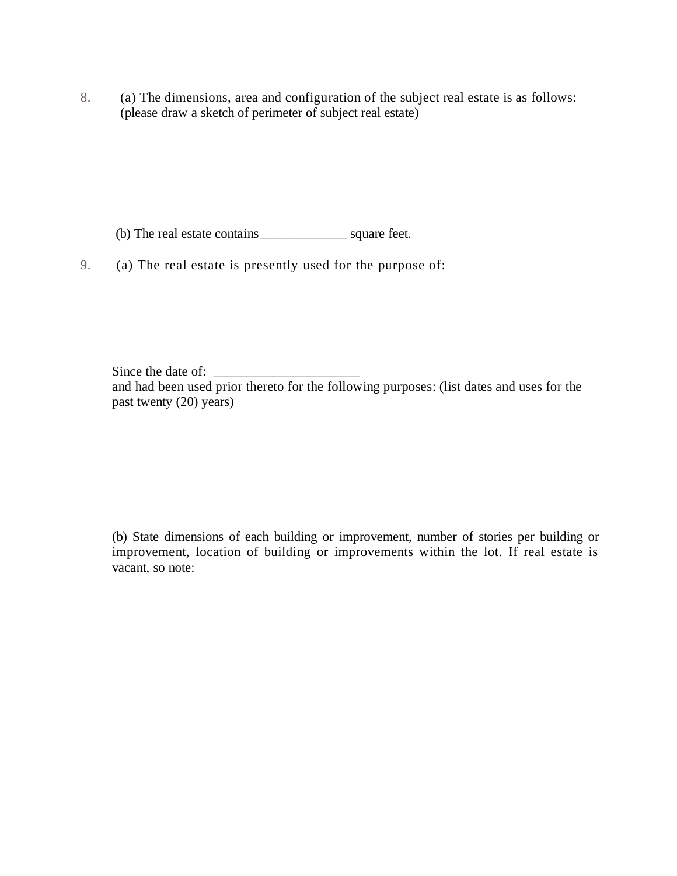8. (a) The dimensions, area and configuration of the subject real estate is as follows: (please draw a sketch of perimeter of subject real estate)

(b) The real estate contains\_\_\_\_\_\_\_\_\_\_\_\_\_ square feet.

9. (a) The real estate is presently used for the purpose of:

Since the date of: and had been used prior thereto for the following purposes: (list dates and uses for the past twenty (20) years)

(b) State dimensions of each building or improvement, number of stories per building or improvement, location of building or improvements within the lot. If real estate is vacant, so note: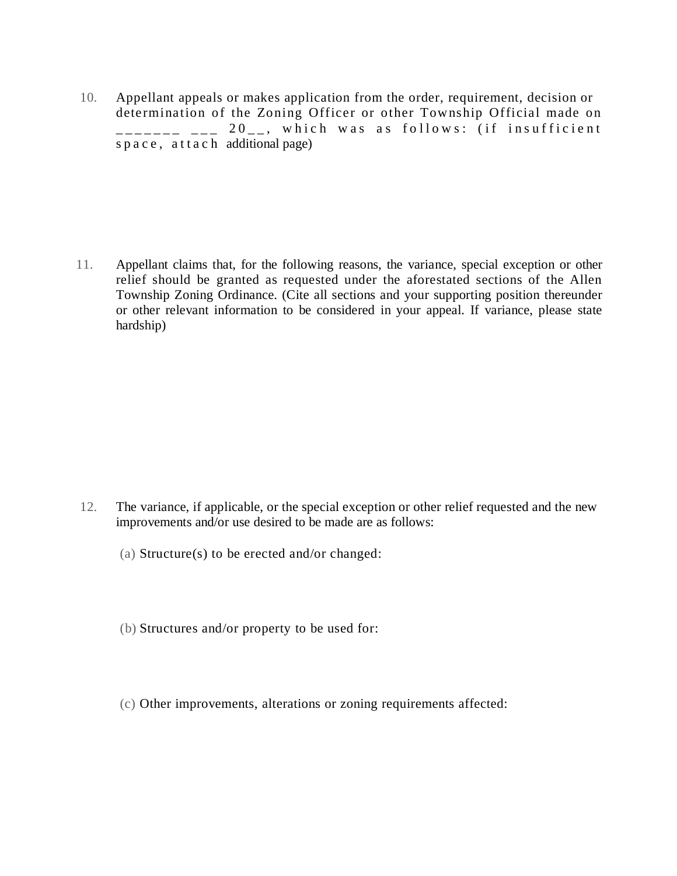10. Appellant appeals or makes application from the order, requirement, decision or determination of the Zoning Officer or other Tow nship Official made on  $\begin{array}{cccc} - & \text{-} \text{-} \text{-} & \text{-} & 20 \text{-} \text{-} & \text{which was as follows:} \end{array}$  (if insufficient s p a c e, a t t a c h additional page)

11. Appellant claims that, for the following reasons, the variance, special exception or other relief should be granted as requested under the aforestated sections of the Allen Township Zoning Ordinance. (Cite all sections and your supporting position thereunder or other relevant information to be considered in your appeal. If variance, please state hardship)

- 12. The variance, if applicable, or the special exception or other relief requested and the new improvements and/or use desired to be made are as follows:
	- (a) Structure(s) to be erected and/or changed:
	- (b) Structures and/or property to be used for:
	- (c) Other improvements, alterations or zoning requirements affected: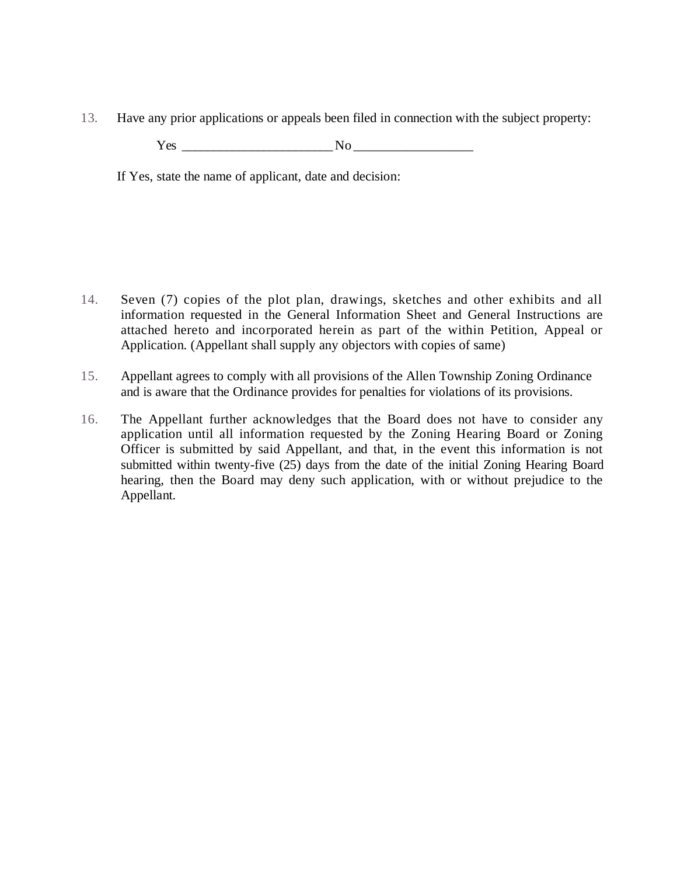13. Have any prior applications or appeals been filed in connection with the subject property:

 $Yes \_$ 

If Yes, state the name of applicant, date and decision:

- 14. Seven (7) copies of the plot plan, drawings, sketches and other exhibits and all information requested in the General Information Sheet and General Instructions are attached hereto and incorporated herein as part of the within Petition, Appeal or Application. (Appellant shall supply any objectors with copies of same)
- 15. Appellant agrees to comply with all provisions of the Allen Township Zoning Ordinance and is aware that the Ordinance provides for penalties for violations of its provisions.
- 16. The Appellant further acknowledges that the Board does not have to consider any application until all information requested by the Zoning Hearing Board or Zoning Officer is submitted by said Appellant, and that, in the event this information is not submitted within twenty-five (25) days from the date of the initial Zoning Hearing Board hearing, then the Board may deny such application, with or without prejudice to the Appellant.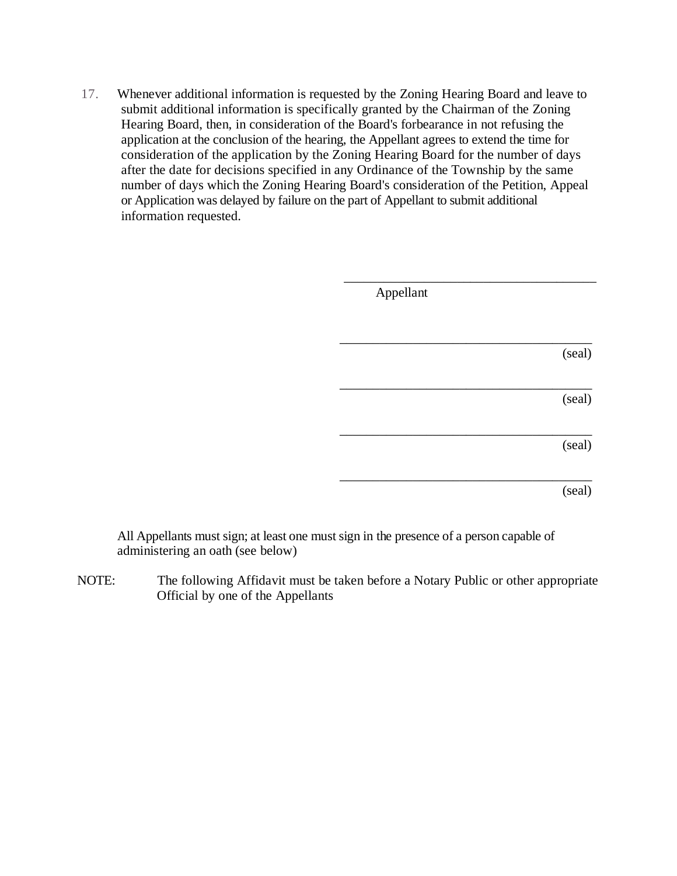17. Whenever additional information is requested by the Zoning Hearing Board and leave to submit additional information is specifically granted by the Chairman of the Zoning Hearing Board, then, in consideration of the Board's forbearance in not refusing the application at the conclusion of the hearing, the Appellant agrees to extend the time for consideration of the application by the Zoning Hearing Board for the number of days after the date for decisions specified in any Ordinance of the Township by the same number of days which the Zoning Hearing Board's consideration of the Petition, Appeal or Application was delayed by failure on the part of Appellant to submit additional information requested.

| Appellant |        |
|-----------|--------|
|           | (seal) |
|           | (seal) |
|           | (seal) |
|           | (seal) |

All Appellants must sign; at least one must sign in the presence of a person capable of administering an oath (see below)

NOTE: The following Affidavit must be taken before a Notary Public or other appropriate Official by one of the Appellants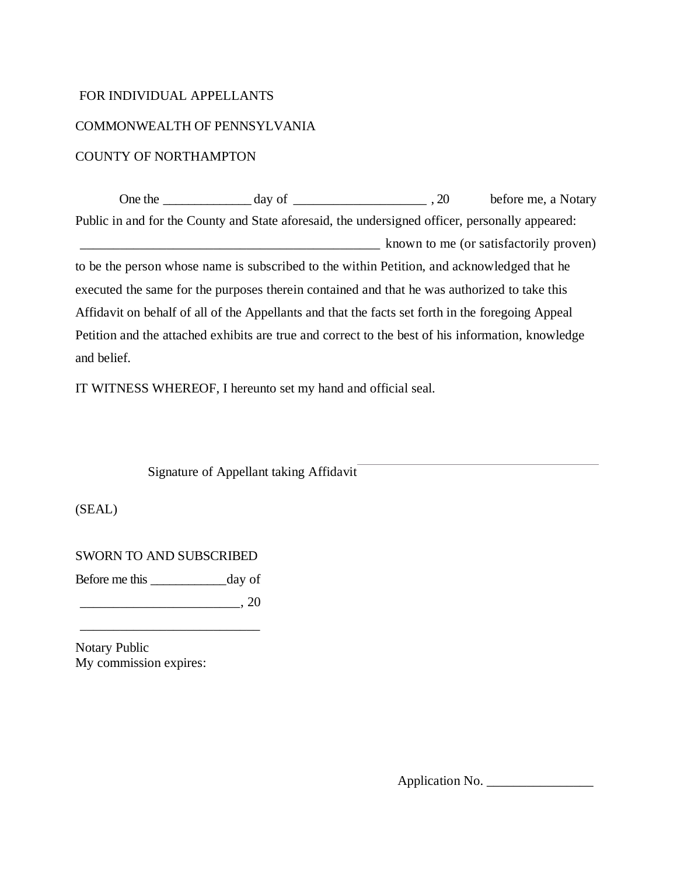#### FOR INDIVIDUAL APPELLANTS

### COMMONWEALTH OF PENNSYLVANIA

### COUNTY OF NORTHAMPTON

One the \_\_\_\_\_\_\_\_\_\_\_\_\_\_ day of \_\_\_\_\_\_\_\_\_\_\_\_\_\_\_\_\_\_\_\_ , 20 before me, a Notary Public in and for the County and State aforesaid, the undersigned officer, personally appeared: known to me (or satisfactorily proven) to be the person whose name is subscribed to the within Petition, and acknowledged that he executed the same for the purposes therein contained and that he was authorized to take this Affidavit on behalf of all of the Appellants and that the facts set forth in the foregoing Appeal Petition and the attached exhibits are true and correct to the best of his information, knowledge and belief.

IT WITNESS WHEREOF, I hereunto set my hand and official seal.

Signature of Appellant taking Affidavit

(SEAL)

SWORN TO AND SUBSCRIBED

Before me this day of

\_\_\_\_\_\_\_\_\_\_\_\_\_\_\_\_\_\_\_\_\_\_\_\_, 20

\_\_\_\_\_\_\_\_\_\_\_\_\_\_\_\_\_\_\_\_\_\_\_\_\_\_\_

Notary Public My commission expires:

Application No. \_\_\_\_\_\_\_\_\_\_\_\_\_\_\_\_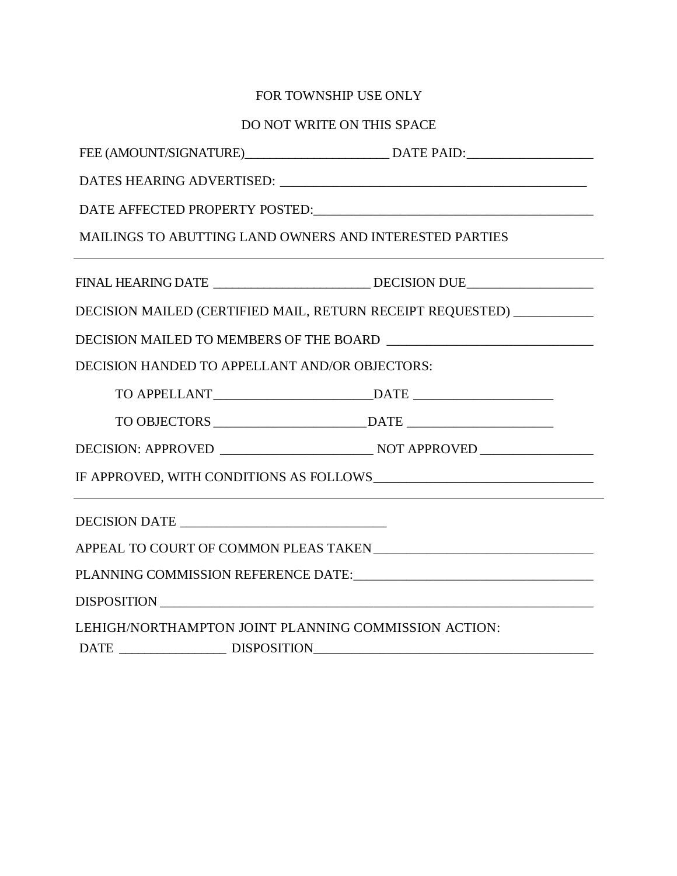# FOR TOWNSHIP USE ONLY

# DO NOT WRITE ON THIS SPACE

| MAILINGS TO ABUTTING LAND OWNERS AND INTERESTED PARTIES |                                                                       |
|---------------------------------------------------------|-----------------------------------------------------------------------|
|                                                         |                                                                       |
|                                                         | DECISION MAILED (CERTIFIED MAIL, RETURN RECEIPT REQUESTED) __________ |
|                                                         |                                                                       |
| DECISION HANDED TO APPELLANT AND/OR OBJECTORS:          |                                                                       |
|                                                         |                                                                       |
|                                                         |                                                                       |
|                                                         |                                                                       |
|                                                         |                                                                       |
|                                                         |                                                                       |
|                                                         |                                                                       |
|                                                         |                                                                       |
|                                                         |                                                                       |
| LEHIGH/NORTHAMPTON JOINT PLANNING COMMISSION ACTION:    |                                                                       |
|                                                         |                                                                       |